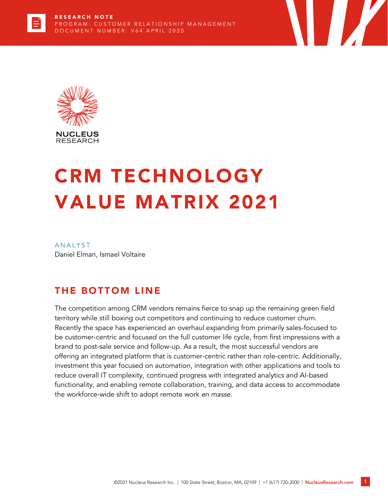



# CRM TECHNOLOGY VALUE MATRIX 2021

**ANALYST** Daniel Elman, Ismael Voltaire

# THE BOTTOM LINE

The competition among CRM vendors remains fierce to snap up the remaining green field territory while still boxing out competitors and continuing to reduce customer churn. Recently the space has experienced an overhaul expanding from primarily sales-focused to be customer-centric and focused on the full customer life cycle, from first impressions with a brand to post-sale service and follow-up. As a result, the most successful vendors are offering an integrated platform that is customer-centric rather than role-centric. Additionally, investment this year focused on automation, integration with other applications and tools to reduce overall IT complexity, continued progress with integrated analytics and AI-based functionality, and enabling remote collaboration, training, and data access to accommodate the workforce-wide shift to adopt remote work *en masse.*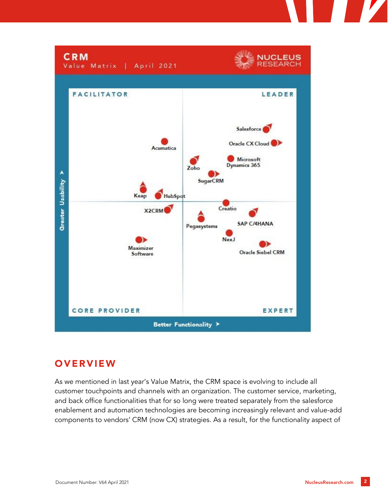

## **OVERVIEW**

As we mentioned in last year's Value Matrix, the CRM space is evolving to include all customer touchpoints and channels with an organization. The customer service, marketing, and back office functionalities that for so long were treated separately from the salesforce enablement and automation technologies are becoming increasingly relevant and value-add components to vendors' CRM (now CX) strategies. As a result, for the functionality aspect of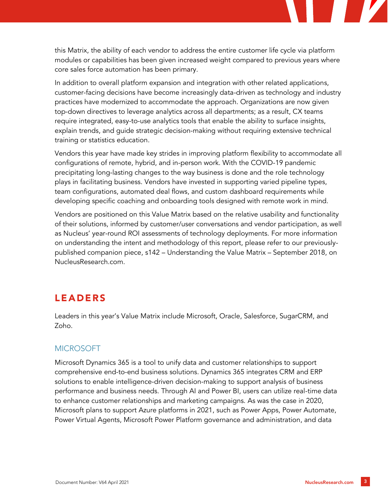this Matrix, the ability of each vendor to address the entire customer life cycle via platform modules or capabilities has been given increased weight compared to previous years where core sales force automation has been primary.

In addition to overall platform expansion and integration with other related applications, customer-facing decisions have become increasingly data-driven as technology and industry practices have modernized to accommodate the approach. Organizations are now given top-down directives to leverage analytics across all departments; as a result, CX teams require integrated, easy-to-use analytics tools that enable the ability to surface insights, explain trends, and guide strategic decision-making without requiring extensive technical training or statistics education.

Vendors this year have made key strides in improving platform flexibility to accommodate all configurations of remote, hybrid, and in-person work. With the COVID-19 pandemic precipitating long-lasting changes to the way business is done and the role technology plays in facilitating business. Vendors have invested in supporting varied pipeline types, team configurations, automated deal flows, and custom dashboard requirements while developing specific coaching and onboarding tools designed with remote work in mind.

Vendors are positioned on this Value Matrix based on the relative usability and functionality of their solutions, informed by customer/user conversations and vendor participation, as well as Nucleus' year-round ROI assessments of technology deployments. For more information on understanding the intent and methodology of this report, please refer to our previouslypublished companion piece, s142 – Understanding the Value Matrix – September 2018, on NucleusResearch.com.

## LEADERS

Leaders in this year's Value Matrix include Microsoft, Oracle, Salesforce, SugarCRM, and Zoho.

## MICROSOFT

Microsoft Dynamics 365 is a tool to unify data and customer relationships to support comprehensive end-to-end business solutions. Dynamics 365 integrates CRM and ERP solutions to enable intelligence-driven decision-making to support analysis of business performance and business needs. Through AI and Power BI, users can utilize real-time data to enhance customer relationships and marketing campaigns. As was the case in 2020, Microsoft plans to support Azure platforms in 2021, such as Power Apps, Power Automate, Power Virtual Agents, Microsoft Power Platform governance and administration, and data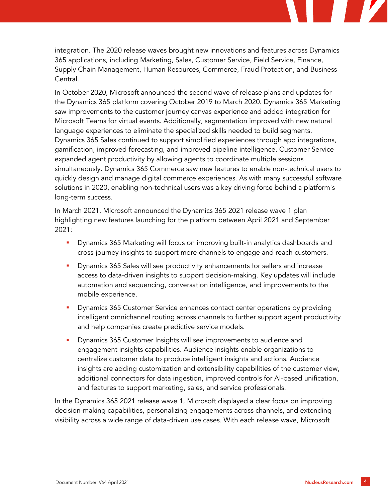integration. The 2020 release waves brought new innovations and features across Dynamics 365 applications, including Marketing, Sales, Customer Service, Field Service, Finance, Supply Chain Management, Human Resources, Commerce, Fraud Protection, and Business Central.

In October 2020, Microsoft announced the second wave of release plans and updates for the Dynamics 365 platform covering October 2019 to March 2020. Dynamics 365 Marketing saw improvements to the customer journey canvas experience and added integration for Microsoft Teams for virtual events. Additionally, segmentation improved with new natural language experiences to eliminate the specialized skills needed to build segments. Dynamics 365 Sales continued to support simplified experiences through app integrations, gamification, improved forecasting, and improved pipeline intelligence. Customer Service expanded agent productivity by allowing agents to coordinate multiple sessions simultaneously. Dynamics 365 Commerce saw new features to enable non-technical users to quickly design and manage digital commerce experiences. As with many successful software solutions in 2020, enabling non-technical users was a key driving force behind a platform's long-term success.

In March 2021, Microsoft announced the Dynamics 365 2021 release wave 1 plan highlighting new features launching for the platform between April 2021 and September 2021:

- Dynamics 365 Marketing will focus on improving built-in analytics dashboards and cross-journey insights to support more channels to engage and reach customers.
- **•** Dynamics 365 Sales will see productivity enhancements for sellers and increase access to data-driven insights to support decision-making. Key updates will include automation and sequencing, conversation intelligence, and improvements to the mobile experience.
- Dynamics 365 Customer Service enhances contact center operations by providing intelligent omnichannel routing across channels to further support agent productivity and help companies create predictive service models.
- Dynamics 365 Customer Insights will see improvements to audience and engagement insights capabilities. Audience insights enable organizations to centralize customer data to produce intelligent insights and actions. Audience insights are adding customization and extensibility capabilities of the customer view, additional connectors for data ingestion, improved controls for AI-based unification, and features to support marketing, sales, and service professionals.

In the Dynamics 365 2021 release wave 1, Microsoft displayed a clear focus on improving decision-making capabilities, personalizing engagements across channels, and extending visibility across a wide range of data-driven use cases. With each release wave, Microsoft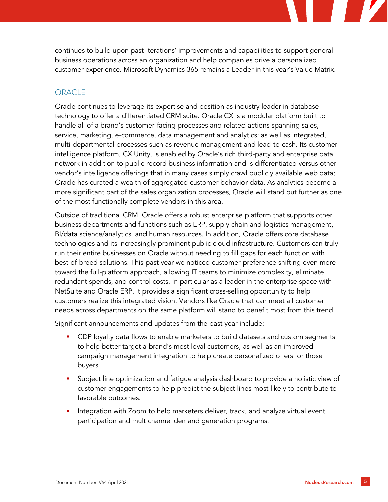continues to build upon past iterations' improvements and capabilities to support general business operations across an organization and help companies drive a personalized customer experience. Microsoft Dynamics 365 remains a Leader in this year's Value Matrix.

## **ORACLE**

Oracle continues to leverage its expertise and position as industry leader in database technology to offer a differentiated CRM suite. Oracle CX is a modular platform built to handle all of a brand's customer-facing processes and related actions spanning sales, service, marketing, e-commerce, data management and analytics; as well as integrated, multi-departmental processes such as revenue management and lead-to-cash. Its customer intelligence platform, CX Unity, is enabled by Oracle's rich third-party and enterprise data network in addition to public record business information and is differentiated versus other vendor's intelligence offerings that in many cases simply crawl publicly available web data; Oracle has curated a wealth of aggregated customer behavior data. As analytics become a more significant part of the sales organization processes, Oracle will stand out further as one of the most functionally complete vendors in this area.

Outside of traditional CRM, Oracle offers a robust enterprise platform that supports other business departments and functions such as ERP, supply chain and logistics management, BI/data science/analytics, and human resources. In addition, Oracle offers core database technologies and its increasingly prominent public cloud infrastructure. Customers can truly run their entire businesses on Oracle without needing to fill gaps for each function with best-of-breed solutions. This past year we noticed customer preference shifting even more toward the full-platform approach, allowing IT teams to minimize complexity, eliminate redundant spends, and control costs. In particular as a leader in the enterprise space with NetSuite and Oracle ERP, it provides a significant cross-selling opportunity to help customers realize this integrated vision. Vendors like Oracle that can meet all customer needs across departments on the same platform will stand to benefit most from this trend.

Significant announcements and updates from the past year include:

- CDP loyalty data flows to enable marketers to build datasets and custom segments to help better target a brand's most loyal customers, as well as an improved campaign management integration to help create personalized offers for those buyers.
- Subject line optimization and fatigue analysis dashboard to provide a holistic view of customer engagements to help predict the subject lines most likely to contribute to favorable outcomes.
- Integration with Zoom to help marketers deliver, track, and analyze virtual event participation and multichannel demand generation programs.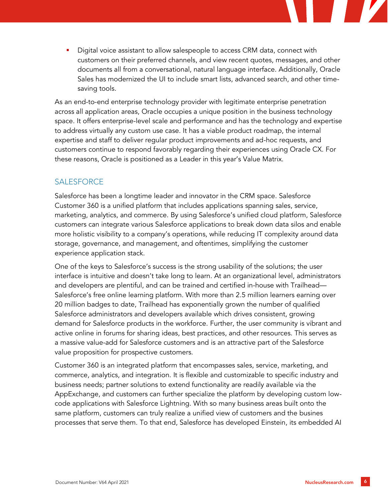Digital voice assistant to allow salespeople to access CRM data, connect with customers on their preferred channels, and view recent quotes, messages, and other documents all from a conversational, natural language interface. Additionally, Oracle Sales has modernized the UI to include smart lists, advanced search, and other timesaving tools.

As an end-to-end enterprise technology provider with legitimate enterprise penetration across all application areas, Oracle occupies a unique position in the business technology space. It offers enterprise-level scale and performance and has the technology and expertise to address virtually any custom use case. It has a viable product roadmap, the internal expertise and staff to deliver regular product improvements and ad-hoc requests, and customers continue to respond favorably regarding their experiences using Oracle CX. For these reasons, Oracle is positioned as a Leader in this year's Value Matrix.

## **SALESFORCE**

Salesforce has been a longtime leader and innovator in the CRM space. Salesforce Customer 360 is a unified platform that includes applications spanning sales, service, marketing, analytics, and commerce. By using Salesforce's unified cloud platform, Salesforce customers can integrate various Salesforce applications to break down data silos and enable more holistic visibility to a company's operations, while reducing IT complexity around data storage, governance, and management, and oftentimes, simplifying the customer experience application stack.

One of the keys to Salesforce's success is the strong usability of the solutions; the user interface is intuitive and doesn't take long to learn. At an organizational level, administrators and developers are plentiful, and can be trained and certified in-house with Trailhead— Salesforce's free online learning platform. With more than 2.5 million learners earning over 20 million badges to date, Trailhead has exponentially grown the number of qualified Salesforce administrators and developers available which drives consistent, growing demand for Salesforce products in the workforce. Further, the user community is vibrant and active online in forums for sharing ideas, best practices, and other resources. This serves as a massive value-add for Salesforce customers and is an attractive part of the Salesforce value proposition for prospective customers.

Customer 360 is an integrated platform that encompasses sales, service, marketing, and commerce, analytics, and integration. It is flexible and customizable to specific industry and business needs; partner solutions to extend functionality are readily available via the AppExchange, and customers can further specialize the platform by developing custom lowcode applications with Salesforce Lightning. With so many business areas built onto the same platform, customers can truly realize a unified view of customers and the busines processes that serve them. To that end, Salesforce has developed Einstein, its embedded AI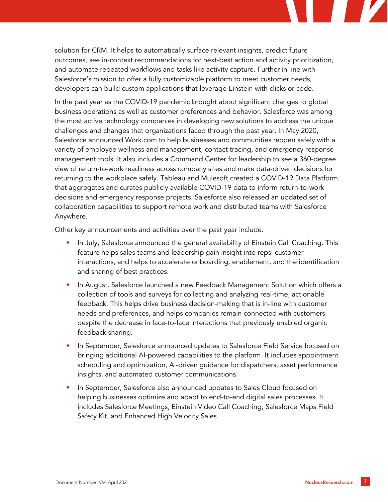solution for CRM. It helps to automatically surface relevant insights, predict future outcomes, see in-context recommendations for next-best action and activity prioritization, and automate repeated workflows and tasks like activity capture. Further in line with Salesforce's mission to offer a fully customizable platform to meet customer needs, developers can build custom applications that leverage Einstein with clicks or code.

In the past year as the COVID-19 pandemic brought about significant changes to global business operations as well as customer preferences and behavior. Salesforce was among the most active technology companies in developing new solutions to address the unique challenges and changes that organizations faced through the past year. In May 2020, Salesforce announced Work.com to help businesses and communities reopen safely with a variety of employee wellness and management, contact tracing, and emergency response management tools. It also includes a Command Center for leadership to see a 360-degree view of return-to-work readiness across company sites and make data-driven decisions for returning to the workplace safely. Tableau and Mulesoft created a COVID-19 Data Platform that aggregates and curates publicly available COVID-19 data to inform return-to-work decisions and emergency response projects. Salesforce also released an updated set of collaboration capabilities to support remote work and distributed teams with Salesforce Anywhere.

Other key announcements and activities over the past year include:

- In July, Salesforce announced the general availability of Einstein Call Coaching. This feature helps sales teams and leadership gain insight into reps' customer interactions, and helps to accelerate onboarding, enablement, and the identification and sharing of best practices.
- In August, Salesforce launched a new Feedback Management Solution which offers a collection of tools and surveys for collecting and analyzing real-time, actionable feedback. This helps drive business decision-making that is in-line with customer needs and preferences, and helps companies remain connected with customers despite the decrease in face-to-face interactions that previously enabled organic feedback sharing.
- In September, Salesforce announced updates to Salesforce Field Service focused on bringing additional AI-powered capabilities to the platform. It includes appointment scheduling and optimization, AI-driven guidance for dispatchers, asset performance insights, and automated customer communications.
- In September, Salesforce also announced updates to Sales Cloud focused on helping businesses optimize and adapt to end-to-end digital sales processes. It includes Salesforce Meetings, Einstein Video Call Coaching, Salesforce Maps Field Safety Kit, and Enhanced High Velocity Sales.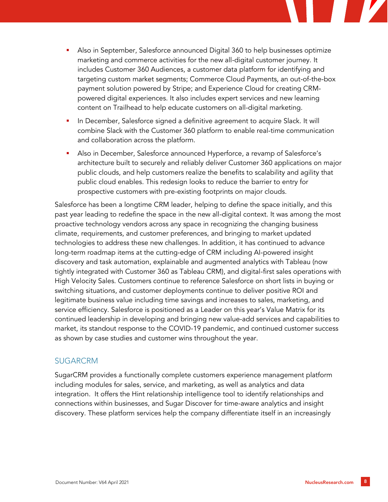

- Also in September, Salesforce announced Digital 360 to help businesses optimize marketing and commerce activities for the new all-digital customer journey. It includes Customer 360 Audiences, a customer data platform for identifying and targeting custom market segments; Commerce Cloud Payments, an out-of-the-box payment solution powered by Stripe; and Experience Cloud for creating CRMpowered digital experiences. It also includes expert services and new learning content on Trailhead to help educate customers on all-digital marketing.
- **•** In December, Salesforce signed a definitive agreement to acquire Slack. It will combine Slack with the Customer 360 platform to enable real-time communication and collaboration across the platform.
- Also in December, Salesforce announced Hyperforce, a revamp of Salesforce's architecture built to securely and reliably deliver Customer 360 applications on major public clouds, and help customers realize the benefits to scalability and agility that public cloud enables. This redesign looks to reduce the barrier to entry for prospective customers with pre-existing footprints on major clouds.

Salesforce has been a longtime CRM leader, helping to define the space initially, and this past year leading to redefine the space in the new all-digital context. It was among the most proactive technology vendors across any space in recognizing the changing business climate, requirements, and customer preferences, and bringing to market updated technologies to address these new challenges. In addition, it has continued to advance long-term roadmap items at the cutting-edge of CRM including AI-powered insight discovery and task automation, explainable and augmented analytics with Tableau (now tightly integrated with Customer 360 as Tableau CRM), and digital-first sales operations with High Velocity Sales. Customers continue to reference Salesforce on short lists in buying or switching situations, and customer deployments continue to deliver positive ROI and legitimate business value including time savings and increases to sales, marketing, and service efficiency. Salesforce is positioned as a Leader on this year's Value Matrix for its continued leadership in developing and bringing new value-add services and capabilities to market, its standout response to the COVID-19 pandemic, and continued customer success as shown by case studies and customer wins throughout the year.

#### SUGARCRM

SugarCRM provides a functionally complete customers experience management platform including modules for sales, service, and marketing, as well as analytics and data integration. It offers the Hint relationship intelligence tool to identify relationships and connections within businesses, and Sugar Discover for time-aware analytics and insight discovery. These platform services help the company differentiate itself in an increasingly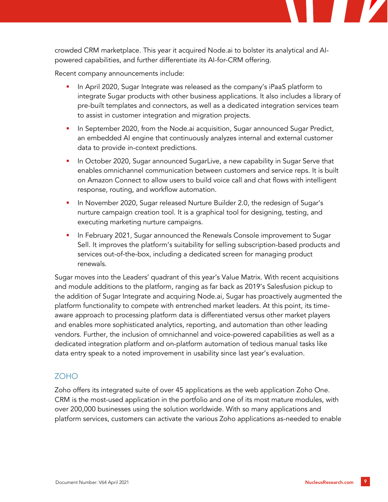

Recent company announcements include:

- In April 2020, Sugar Integrate was released as the company's iPaaS platform to integrate Sugar products with other business applications. It also includes a library of pre-built templates and connectors, as well as a dedicated integration services team to assist in customer integration and migration projects.
- In September 2020, from the Node.ai acquisition, Sugar announced Sugar Predict, an embedded AI engine that continuously analyzes internal and external customer data to provide in-context predictions.
- **In October 2020, Sugar announced SugarLive, a new capability in Sugar Serve that** enables omnichannel communication between customers and service reps. It is built on Amazon Connect to allow users to build voice call and chat flows with intelligent response, routing, and workflow automation.
- In November 2020, Sugar released Nurture Builder 2.0, the redesign of Sugar's nurture campaign creation tool. It is a graphical tool for designing, testing, and executing marketing nurture campaigns.
- In February 2021, Sugar announced the Renewals Console improvement to Sugar Sell. It improves the platform's suitability for selling subscription-based products and services out-of-the-box, including a dedicated screen for managing product renewals.

Sugar moves into the Leaders' quadrant of this year's Value Matrix. With recent acquisitions and module additions to the platform, ranging as far back as 2019's Salesfusion pickup to the addition of Sugar Integrate and acquiring Node.ai, Sugar has proactively augmented the platform functionality to compete with entrenched market leaders. At this point, its timeaware approach to processing platform data is differentiated versus other market players and enables more sophisticated analytics, reporting, and automation than other leading vendors. Further, the inclusion of omnichannel and voice-powered capabilities as well as a dedicated integration platform and on-platform automation of tedious manual tasks like data entry speak to a noted improvement in usability since last year's evaluation.

#### ZOHO

Zoho offers its integrated suite of over 45 applications as the web application Zoho One. CRM is the most-used application in the portfolio and one of its most mature modules, with over 200,000 businesses using the solution worldwide. With so many applications and platform services, customers can activate the various Zoho applications as-needed to enable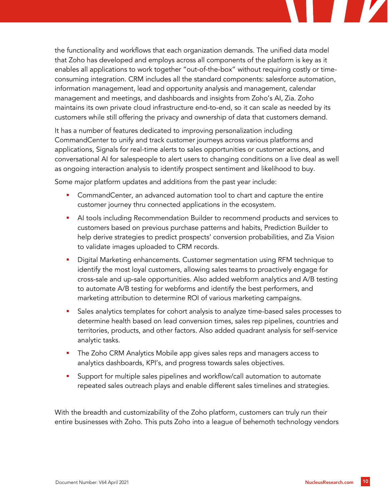the functionality and workflows that each organization demands. The unified data model that Zoho has developed and employs across all components of the platform is key as it enables all applications to work together "out-of-the-box" without requiring costly or timeconsuming integration. CRM includes all the standard components: salesforce automation, information management, lead and opportunity analysis and management, calendar management and meetings, and dashboards and insights from Zoho's AI, Zia. Zoho maintains its own private cloud infrastructure end-to-end, so it can scale as needed by its customers while still offering the privacy and ownership of data that customers demand.

It has a number of features dedicated to improving personalization including CommandCenter to unify and track customer journeys across various platforms and applications, Signals for real-time alerts to sales opportunities or customer actions, and conversational AI for salespeople to alert users to changing conditions on a live deal as well as ongoing interaction analysis to identify prospect sentiment and likelihood to buy.

Some major platform updates and additions from the past year include:

- CommandCenter, an advanced automation tool to chart and capture the entire customer journey thru connected applications in the ecosystem.
- **•** AI tools including Recommendation Builder to recommend products and services to customers based on previous purchase patterns and habits, Prediction Builder to help derive strategies to predict prospects' conversion probabilities, and Zia Vision to validate images uploaded to CRM records.
- Digital Marketing enhancements. Customer segmentation using RFM technique to identify the most loyal customers, allowing sales teams to proactively engage for cross-sale and up-sale opportunities. Also added webform analytics and A/B testing to automate A/B testing for webforms and identify the best performers, and marketing attribution to determine ROI of various marketing campaigns.
- **•** Sales analytics templates for cohort analysis to analyze time-based sales processes to determine health based on lead conversion times, sales rep pipelines, countries and territories, products, and other factors. Also added quadrant analysis for self-service analytic tasks.
- The Zoho CRM Analytics Mobile app gives sales reps and managers access to analytics dashboards, KPI's, and progress towards sales objectives.
- **EX Support for multiple sales pipelines and workflow/call automation to automate** repeated sales outreach plays and enable different sales timelines and strategies.

With the breadth and customizability of the Zoho platform, customers can truly run their entire businesses with Zoho. This puts Zoho into a league of behemoth technology vendors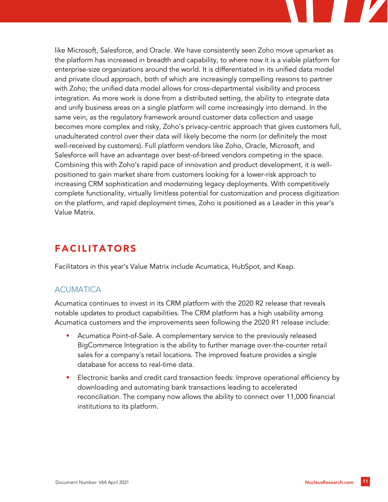like Microsoft, Salesforce, and Oracle. We have consistently seen Zoho move upmarket as the platform has increased in breadth and capability, to where now it is a viable platform for enterprise-size organizations around the world. It is differentiated in its unified data model and private cloud approach, both of which are increasingly compelling reasons to partner with Zoho; the unified data model allows for cross-departmental visibility and process integration. As more work is done from a distributed setting, the ability to integrate data and unify business areas on a single platform will come increasingly into demand. In the same vein, as the regulatory framework around customer data collection and usage becomes more complex and risky, Zoho's privacy-centric approach that gives customers full, unadulterated control over their data will likely become the norm (or definitely the most well-received by customers). Full platform vendors like Zoho, Oracle, Microsoft, and Salesforce will have an advantage over best-of-breed vendors competing in the space. Combining this with Zoho's rapid pace of innovation and product development, it is wellpositioned to gain market share from customers looking for a lower-risk approach to increasing CRM sophistication and modernizing legacy deployments. With competitively complete functionality, virtually limitless potential for customization and process digitization on the platform, and rapid deployment times, Zoho is positioned as a Leader in this year's Value Matrix.

# FACILITATORS

Facilitators in this year's Value Matrix include Acumatica, HubSpot, and Keap.

## ACUMATICA

Acumatica continues to invest in its CRM platform with the 2020 R2 release that reveals notable updates to product capabilities. The CRM platform has a high usability among Acumatica customers and the improvements seen following the 2020 R1 release include:

- Acumatica Point-of-Sale. A complementary service to the previously released BigCommerce Integration is the ability to further manage over-the-counter retail sales for a company's retail locations. The improved feature provides a single database for access to real-time data.
- Electronic banks and credit card transaction feeds: Improve operational efficiency by downloading and automating bank transactions leading to accelerated reconciliation. The company now allows the ability to connect over 11,000 financial institutions to its platform.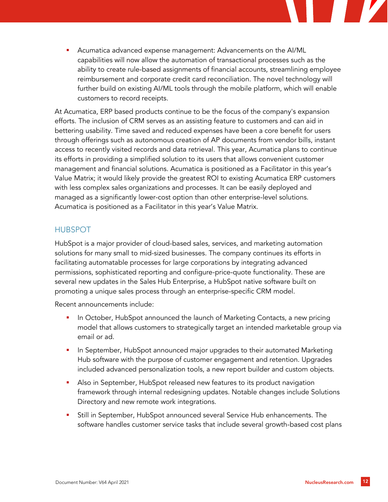Acumatica advanced expense management: Advancements on the AI/ML capabilities will now allow the automation of transactional processes such as the ability to create rule-based assignments of financial accounts, streamlining employee reimbursement and corporate credit card reconciliation. The novel technology will further build on existing AI/ML tools through the mobile platform, which will enable customers to record receipts.

At Acumatica, ERP based products continue to be the focus of the company's expansion efforts. The inclusion of CRM serves as an assisting feature to customers and can aid in bettering usability. Time saved and reduced expenses have been a core benefit for users through offerings such as autonomous creation of AP documents from vendor bills, instant access to recently visited records and data retrieval. This year, Acumatica plans to continue its efforts in providing a simplified solution to its users that allows convenient customer management and financial solutions. Acumatica is positioned as a Facilitator in this year's Value Matrix; it would likely provide the greatest ROI to existing Acumatica ERP customers with less complex sales organizations and processes. It can be easily deployed and managed as a significantly lower-cost option than other enterprise-level solutions. Acumatica is positioned as a Facilitator in this year's Value Matrix.

## HUBSPOT

HubSpot is a major provider of cloud-based sales, services, and marketing automation solutions for many small to mid-sized businesses. The company continues its efforts in facilitating automatable processes for large corporations by integrating advanced permissions, sophisticated reporting and configure-price-quote functionality. These are several new updates in the Sales Hub Enterprise, a HubSpot native software built on promoting a unique sales process through an enterprise-specific CRM model.

Recent announcements include:

- In October, HubSpot announced the launch of Marketing Contacts, a new pricing model that allows customers to strategically target an intended marketable group via email or ad.
- In September, HubSpot announced major upgrades to their automated Marketing Hub software with the purpose of customer engagement and retention. Upgrades included advanced personalization tools, a new report builder and custom objects.
- Also in September, HubSpot released new features to its product navigation framework through internal redesigning updates. Notable changes include Solutions Directory and new remote work integrations.
- Still in September, HubSpot announced several Service Hub enhancements. The software handles customer service tasks that include several growth-based cost plans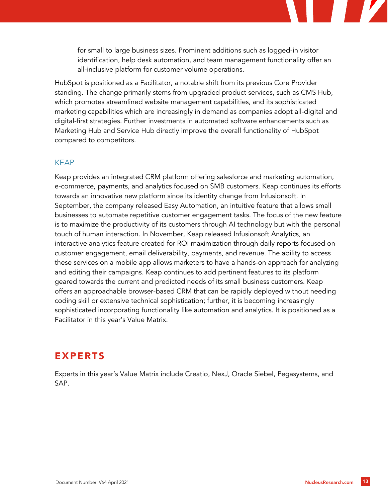for small to large business sizes. Prominent additions such as logged-in visitor identification, help desk automation, and team management functionality offer an all-inclusive platform for customer volume operations.

HubSpot is positioned as a Facilitator, a notable shift from its previous Core Provider standing. The change primarily stems from upgraded product services, such as CMS Hub, which promotes streamlined website management capabilities, and its sophisticated marketing capabilities which are increasingly in demand as companies adopt all-digital and digital-first strategies. Further investments in automated software enhancements such as Marketing Hub and Service Hub directly improve the overall functionality of HubSpot compared to competitors.

#### KEAP

Keap provides an integrated CRM platform offering salesforce and marketing automation, e-commerce, payments, and analytics focused on SMB customers. Keap continues its efforts towards an innovative new platform since its identity change from Infusionsoft. In September, the company released Easy Automation, an intuitive feature that allows small businesses to automate repetitive customer engagement tasks. The focus of the new feature is to maximize the productivity of its customers through AI technology but with the personal touch of human interaction. In November, Keap released Infusionsoft Analytics, an interactive analytics feature created for ROI maximization through daily reports focused on customer engagement, email deliverability, payments, and revenue. The ability to access these services on a mobile app allows marketers to have a hands-on approach for analyzing and editing their campaigns. Keap continues to add pertinent features to its platform geared towards the current and predicted needs of its small business customers. Keap offers an approachable browser-based CRM that can be rapidly deployed without needing coding skill or extensive technical sophistication; further, it is becoming increasingly sophisticated incorporating functionality like automation and analytics. It is positioned as a Facilitator in this year's Value Matrix.

## EXPERTS

Experts in this year's Value Matrix include Creatio, NexJ, Oracle Siebel, Pegasystems, and SAP.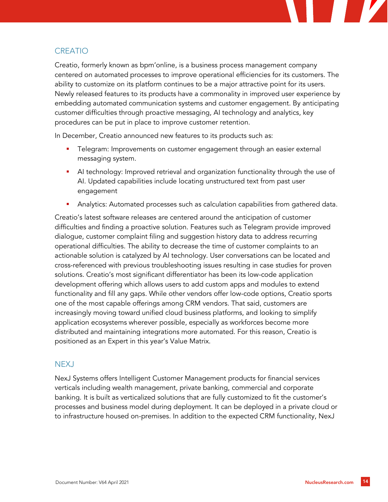

## **CREATIO**

Creatio, formerly known as bpm'online, is a business process management company centered on automated processes to improve operational efficiencies for its customers. The ability to customize on its platform continues to be a major attractive point for its users. Newly released features to its products have a commonality in improved user experience by embedding automated communication systems and customer engagement. By anticipating customer difficulties through proactive messaging, AI technology and analytics, key procedures can be put in place to improve customer retention.

In December, Creatio announced new features to its products such as:

- Telegram: Improvements on customer engagement through an easier external messaging system.
- AI technology: Improved retrieval and organization functionality through the use of AI. Updated capabilities include locating unstructured text from past user engagement
- Analytics: Automated processes such as calculation capabilities from gathered data.

Creatio's latest software releases are centered around the anticipation of customer difficulties and finding a proactive solution. Features such as Telegram provide improved dialogue, customer complaint filing and suggestion history data to address recurring operational difficulties. The ability to decrease the time of customer complaints to an actionable solution is catalyzed by AI technology. User conversations can be located and cross-referenced with previous troubleshooting issues resulting in case studies for proven solutions. Creatio's most significant differentiator has been its low-code application development offering which allows users to add custom apps and modules to extend functionality and fill any gaps. While other vendors offer low-code options, Creatio sports one of the most capable offerings among CRM vendors. That said, customers are increasingly moving toward unified cloud business platforms, and looking to simplify application ecosystems wherever possible, especially as workforces become more distributed and maintaining integrations more automated. For this reason, Creatio is positioned as an Expert in this year's Value Matrix.

## NEXJ

NexJ Systems offers Intelligent Customer Management products for financial services verticals including wealth management, private banking, commercial and corporate banking. It is built as verticalized solutions that are fully customized to fit the customer's processes and business model during deployment. It can be deployed in a private cloud or to infrastructure housed on-premises. In addition to the expected CRM functionality, NexJ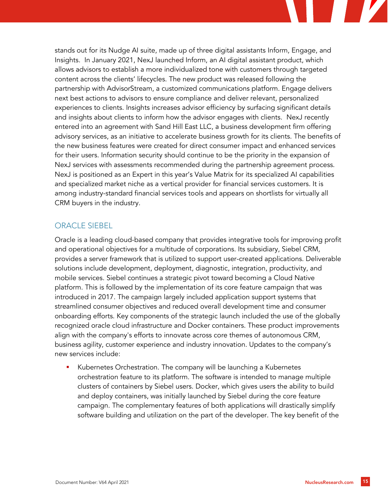stands out for its Nudge AI suite, made up of three digital assistants Inform, Engage, and Insights. In January 2021, NexJ launched Inform, an AI digital assistant product, which allows advisors to establish a more individualized tone with customers through targeted content across the clients' lifecycles. The new product was released following the partnership with AdvisorStream, a customized communications platform. Engage delivers next best actions to advisors to ensure compliance and deliver relevant, personalized experiences to clients. Insights increases advisor efficiency by surfacing significant details and insights about clients to inform how the advisor engages with clients. NexJ recently entered into an agreement with Sand Hill East LLC, a business development firm offering advisory services, as an initiative to accelerate business growth for its clients. The benefits of the new business features were created for direct consumer impact and enhanced services for their users. Information security should continue to be the priority in the expansion of NexJ services with assessments recommended during the partnership agreement process. NexJ is positioned as an Expert in this year's Value Matrix for its specialized AI capabilities and specialized market niche as a vertical provider for financial services customers. It is among industry-standard financial services tools and appears on shortlists for virtually all CRM buyers in the industry.

#### ORACLE SIEBEL

Oracle is a leading cloud-based company that provides integrative tools for improving profit and operational objectives for a multitude of corporations. Its subsidiary, Siebel CRM, provides a server framework that is utilized to support user-created applications. Deliverable solutions include development, deployment, diagnostic, integration, productivity, and mobile services. Siebel continues a strategic pivot toward becoming a Cloud Native platform. This is followed by the implementation of its core feature campaign that was introduced in 2017. The campaign largely included application support systems that streamlined consumer objectives and reduced overall development time and consumer onboarding efforts. Key components of the strategic launch included the use of the globally recognized oracle cloud infrastructure and Docker containers. These product improvements align with the company's efforts to innovate across core themes of autonomous CRM, business agility, customer experience and industry innovation. Updates to the company's new services include:

Kubernetes Orchestration. The company will be launching a Kubernetes orchestration feature to its platform. The software is intended to manage multiple clusters of containers by Siebel users. Docker, which gives users the ability to build and deploy containers, was initially launched by Siebel during the core feature campaign. The complementary features of both applications will drastically simplify software building and utilization on the part of the developer. The key benefit of the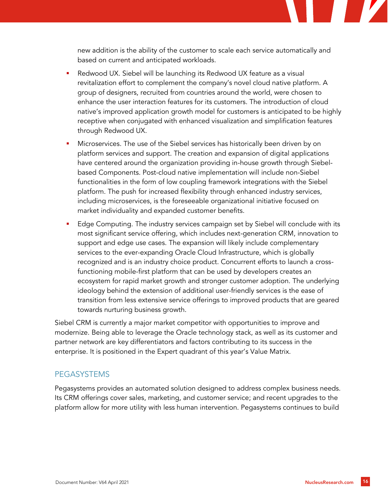new addition is the ability of the customer to scale each service automatically and based on current and anticipated workloads.

- Redwood UX. Siebel will be launching its Redwood UX feature as a visual revitalization effort to complement the company's novel cloud native platform. A group of designers, recruited from countries around the world, were chosen to enhance the user interaction features for its customers. The introduction of cloud native's improved application growth model for customers is anticipated to be highly receptive when conjugated with enhanced visualization and simplification features through Redwood UX.
- Microservices. The use of the Siebel services has historically been driven by on platform services and support. The creation and expansion of digital applications have centered around the organization providing in-house growth through Siebelbased Components. Post-cloud native implementation will include non-Siebel functionalities in the form of low coupling framework integrations with the Siebel platform. The push for increased flexibility through enhanced industry services, including microservices, is the foreseeable organizational initiative focused on market individuality and expanded customer benefits.
- Edge Computing. The industry services campaign set by Siebel will conclude with its most significant service offering, which includes next-generation CRM, innovation to support and edge use cases. The expansion will likely include complementary services to the ever-expanding Oracle Cloud Infrastructure, which is globally recognized and is an industry choice product. Concurrent efforts to launch a crossfunctioning mobile-first platform that can be used by developers creates an ecosystem for rapid market growth and stronger customer adoption. The underlying ideology behind the extension of additional user-friendly services is the ease of transition from less extensive service offerings to improved products that are geared towards nurturing business growth.

Siebel CRM is currently a major market competitor with opportunities to improve and modernize. Being able to leverage the Oracle technology stack, as well as its customer and partner network are key differentiators and factors contributing to its success in the enterprise. It is positioned in the Expert quadrant of this year's Value Matrix.

#### **PEGASYSTEMS**

Pegasystems provides an automated solution designed to address complex business needs. Its CRM offerings cover sales, marketing, and customer service; and recent upgrades to the platform allow for more utility with less human intervention. Pegasystems continues to build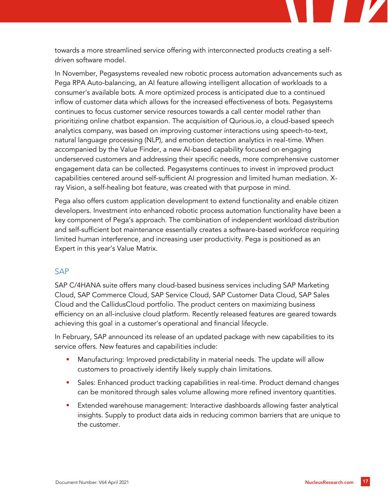towards a more streamlined service offering with interconnected products creating a selfdriven software model.

In November, Pegasystems revealed new robotic process automation advancements such as Pega RPA Auto-balancing, an AI feature allowing intelligent allocation of workloads to a consumer's available bots. A more optimized process is anticipated due to a continued inflow of customer data which allows for the increased effectiveness of bots. Pegasystems continues to focus customer service resources towards a call center model rather than prioritizing online chatbot expansion. The acquisition of Qurious.io, a cloud-based speech analytics company, was based on improving customer interactions using speech-to-text, natural language processing (NLP), and emotion detection analytics in real-time. When accompanied by the Value Finder, a new AI-based capability focused on engaging underserved customers and addressing their specific needs, more comprehensive customer engagement data can be collected. Pegasystems continues to invest in improved product capabilities centered around self-sufficient AI progression and limited human mediation. Xray Vision, a self-healing bot feature, was created with that purpose in mind.

Pega also offers custom application development to extend functionality and enable citizen developers. Investment into enhanced robotic process automation functionality have been a key component of Pega's approach. The combination of independent workload distribution and self-sufficient bot maintenance essentially creates a software-based workforce requiring limited human interference, and increasing user productivity. Pega is positioned as an Expert in this year's Value Matrix.

#### SAP

SAP C/4HANA suite offers many cloud-based business services including SAP Marketing Cloud, SAP Commerce Cloud, SAP Service Cloud, SAP Customer Data Cloud, SAP Sales Cloud and the CallidusCloud portfolio. The product centers on maximizing business efficiency on an all-inclusive cloud platform. Recently released features are geared towards achieving this goal in a customer's operational and financial lifecycle.

In February, SAP announced its release of an updated package with new capabilities to its service offers. New features and capabilities include:

- Manufacturing: Improved predictability in material needs. The update will allow customers to proactively identify likely supply chain limitations.
- Sales: Enhanced product tracking capabilities in real-time. Product demand changes can be monitored through sales volume allowing more refined inventory quantities.
- Extended warehouse management: Interactive dashboards allowing faster analytical insights. Supply to product data aids in reducing common barriers that are unique to the customer.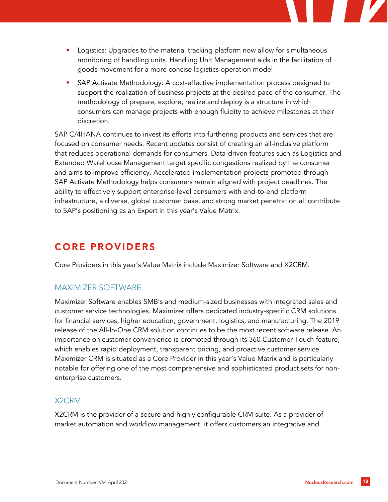- Logistics: Upgrades to the material tracking platform now allow for simultaneous monitoring of handling units. Handling Unit Management aids in the facilitation of goods movement for a more concise logistics operation model
- SAP Activate Methodology: A cost-effective implementation process designed to support the realization of business projects at the desired pace of the consumer. The methodology of prepare, explore, realize and deploy is a structure in which consumers can manage projects with enough fluidity to achieve milestones at their discretion.

SAP C/4HANA continues to invest its efforts into furthering products and services that are focused on consumer needs. Recent updates consist of creating an all-inclusive platform that reduces operational demands for consumers. Data-driven features such as Logistics and Extended Warehouse Management target specific congestions realized by the consumer and aims to improve efficiency. Accelerated implementation projects promoted through SAP Activate Methodology helps consumers remain aligned with project deadlines. The ability to effectively support enterprise-level consumers with end-to-end platform infrastructure, a diverse, global customer base, and strong market penetration all contribute to SAP's positioning as an Expert in this year's Value Matrix.

# CORE PROVIDERS

Core Providers in this year's Value Matrix include Maximizer Software and X2CRM.

## MAXIMIZER SOFTWARE

Maximizer Software enables SMB's and medium-sized businesses with integrated sales and customer service technologies. Maximizer offers dedicated industry-specific CRM solutions for financial services, higher education, government, logistics, and manufacturing. The 2019 release of the All-In-One CRM solution continues to be the most recent software release. An importance on customer convenience is promoted through its 360 Customer Touch feature, which enables rapid deployment, transparent pricing, and proactive customer service. Maximizer CRM is situated as a Core Provider in this year's Value Matrix and is particularly notable for offering one of the most comprehensive and sophisticated product sets for nonenterprise customers.

## X2CRM

X2CRM is the provider of a secure and highly configurable CRM suite. As a provider of market automation and workflow management, it offers customers an integrative and